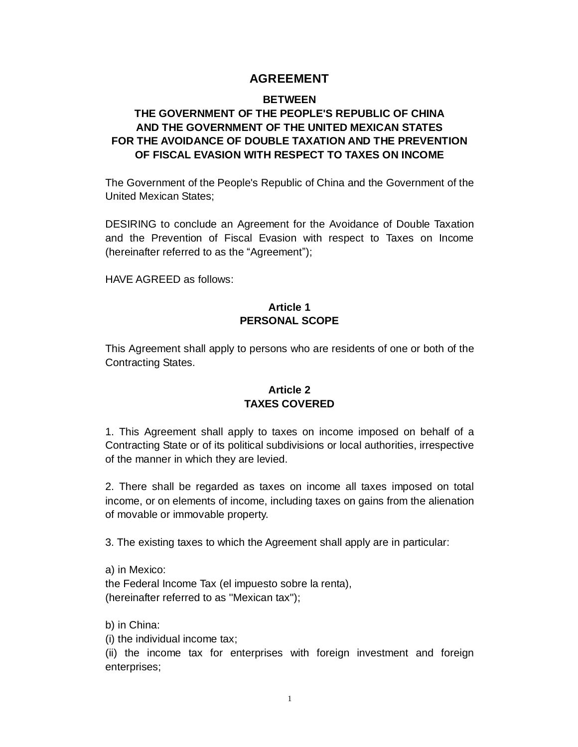# **AGREEMENT**

#### **BETWEEN**

# **THE GOVERNMENT OF THE PEOPLE'S REPUBLIC OF CHINA AND THE GOVERNMENT OF THE UNITED MEXICAN STATES FOR THE AVOIDANCE OF DOUBLE TAXATION AND THE PREVENTION OF FISCAL EVASION WITH RESPECT TO TAXES ON INCOME**

The Government of the People's Republic of China and the Government of the United Mexican States;

DESIRING to conclude an Agreement for the Avoidance of Double Taxation and the Prevention of Fiscal Evasion with respect to Taxes on Income (hereinafter referred to as the "Agreement");

HAVE AGREED as follows:

# **Article 1 PERSONAL SCOPE**

This Agreement shall apply to persons who are residents of one or both of the Contracting States.

# **Article 2 TAXES COVERED**

1. This Agreement shall apply to taxes on income imposed on behalf of a Contracting State or of its political subdivisions or local authorities, irrespective of the manner in which they are levied.

2. There shall be regarded as taxes on income all taxes imposed on total income, or on elements of income, including taxes on gains from the alienation of movable or immovable property.

3. The existing taxes to which the Agreement shall apply are in particular:

a) in Mexico: the Federal Income Tax (el impuesto sobre la renta), (hereinafter referred to as ''Mexican tax'');

b) in China:

(i) the individual income tax;

(ii) the income tax for enterprises with foreign investment and foreign enterprises;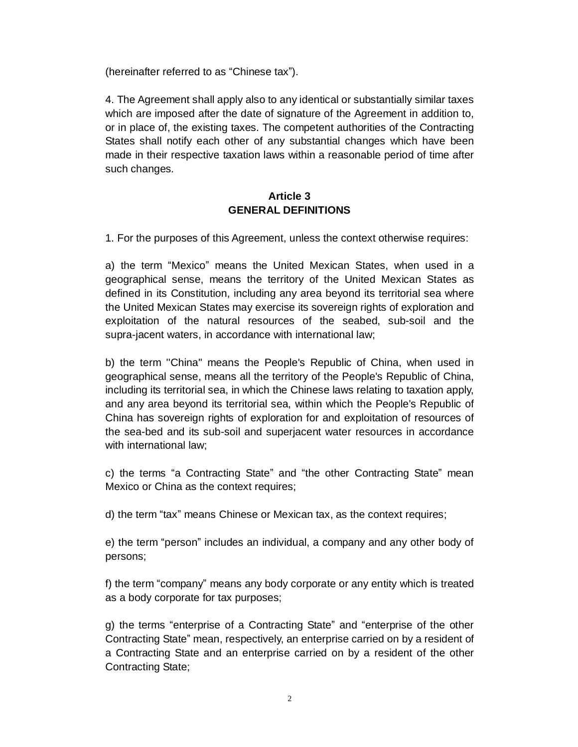(hereinafter referred to as "Chinese tax").

4. The Agreement shall apply also to any identical or substantially similar taxes which are imposed after the date of signature of the Agreement in addition to, or in place of, the existing taxes. The competent authorities of the Contracting States shall notify each other of any substantial changes which have been made in their respective taxation laws within a reasonable period of time after such changes.

#### **Article 3 GENERAL DEFINITIONS**

1. For the purposes of this Agreement, unless the context otherwise requires:

a) the term "Mexico" means the United Mexican States, when used in a geographical sense, means the territory of the United Mexican States as defined in its Constitution, including any area beyond its territorial sea where the United Mexican States may exercise its sovereign rights of exploration and exploitation of the natural resources of the seabed, sub-soil and the supra-jacent waters, in accordance with international law;

b) the term ''China'' means the People's Republic of China, when used in geographical sense, means all the territory of the People's Republic of China, including its territorial sea, in which the Chinese laws relating to taxation apply, and any area beyond its territorial sea, within which the People's Republic of China has sovereign rights of exploration for and exploitation of resources of the sea-bed and its sub-soil and superjacent water resources in accordance with international law;

c) the terms "a Contracting State" and "the other Contracting State" mean Mexico or China as the context requires;

d) the term "tax" means Chinese or Mexican tax, as the context requires;

e) the term "person" includes an individual, a company and any other body of persons;

f) the term "company" means any body corporate or any entity which is treated as a body corporate for tax purposes;

g) the terms "enterprise of a Contracting State" and "enterprise of the other Contracting State" mean, respectively, an enterprise carried on by a resident of a Contracting State and an enterprise carried on by a resident of the other Contracting State;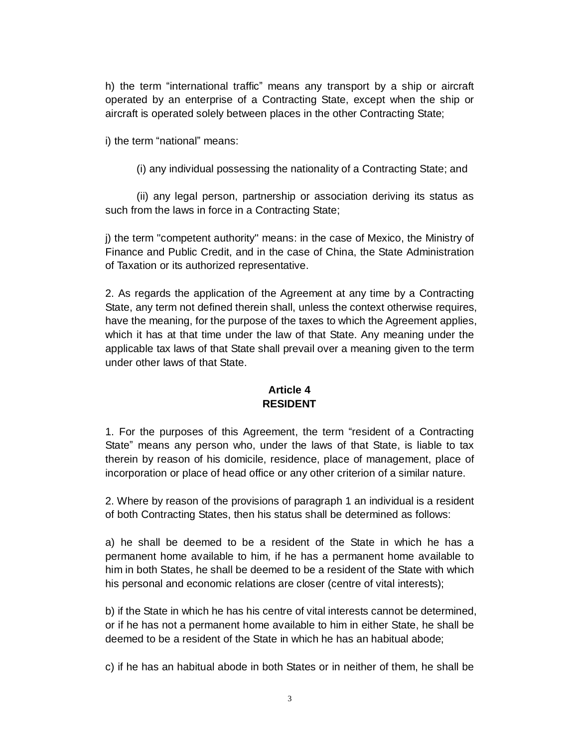h) the term "international traffic" means any transport by a ship or aircraft operated by an enterprise of a Contracting State, except when the ship or aircraft is operated solely between places in the other Contracting State;

i) the term "national" means:

(i) any individual possessing the nationality of a Contracting State; and

(ii) any legal person, partnership or association deriving its status as such from the laws in force in a Contracting State;

j) the term ''competent authority'' means: in the case of Mexico, the Ministry of Finance and Public Credit, and in the case of China, the State Administration of Taxation or its authorized representative.

2. As regards the application of the Agreement at any time by a Contracting State, any term not defined therein shall, unless the context otherwise requires, have the meaning, for the purpose of the taxes to which the Agreement applies, which it has at that time under the law of that State. Any meaning under the applicable tax laws of that State shall prevail over a meaning given to the term under other laws of that State.

#### **Article 4 RESIDENT**

1. For the purposes of this Agreement, the term "resident of a Contracting State" means any person who, under the laws of that State, is liable to tax therein by reason of his domicile, residence, place of management, place of incorporation or place of head office or any other criterion of a similar nature.

2. Where by reason of the provisions of paragraph 1 an individual is a resident of both Contracting States, then his status shall be determined as follows:

a) he shall be deemed to be a resident of the State in which he has a permanent home available to him, if he has a permanent home available to him in both States, he shall be deemed to be a resident of the State with which his personal and economic relations are closer (centre of vital interests);

b) if the State in which he has his centre of vital interests cannot be determined, or if he has not a permanent home available to him in either State, he shall be deemed to be a resident of the State in which he has an habitual abode;

c) if he has an habitual abode in both States or in neither of them, he shall be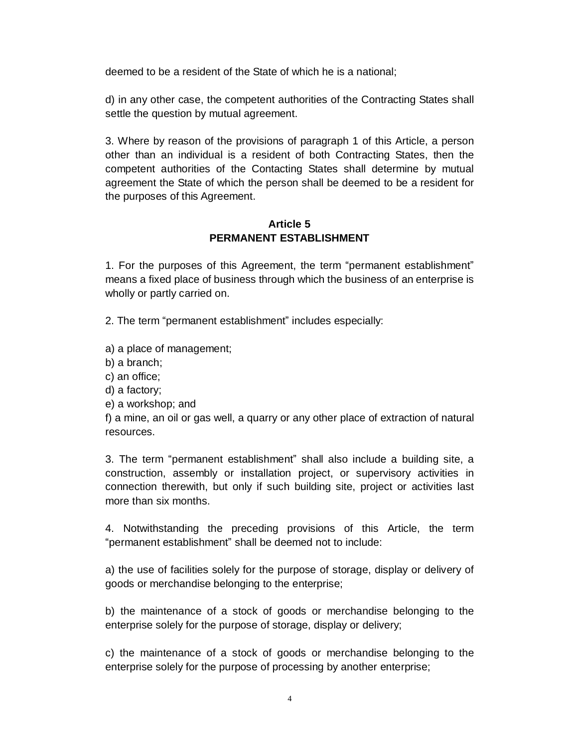deemed to be a resident of the State of which he is a national;

d) in any other case, the competent authorities of the Contracting States shall settle the question by mutual agreement.

3. Where by reason of the provisions of paragraph 1 of this Article, a person other than an individual is a resident of both Contracting States, then the competent authorities of the Contacting States shall determine by mutual agreement the State of which the person shall be deemed to be a resident for the purposes of this Agreement.

### **Article 5 PERMANENT ESTABLISHMENT**

1. For the purposes of this Agreement, the term "permanent establishment" means a fixed place of business through which the business of an enterprise is wholly or partly carried on.

2. The term "permanent establishment" includes especially:

a) a place of management;

b) a branch;

c) an office;

d) a factory;

e) a workshop; and

f) a mine, an oil or gas well, a quarry or any other place of extraction of natural resources.

3. The term "permanent establishment" shall also include a building site, a construction, assembly or installation project, or supervisory activities in connection therewith, but only if such building site, project or activities last more than six months.

4. Notwithstanding the preceding provisions of this Article, the term "permanent establishment" shall be deemed not to include:

a) the use of facilities solely for the purpose of storage, display or delivery of goods or merchandise belonging to the enterprise;

b) the maintenance of a stock of goods or merchandise belonging to the enterprise solely for the purpose of storage, display or delivery;

c) the maintenance of a stock of goods or merchandise belonging to the enterprise solely for the purpose of processing by another enterprise;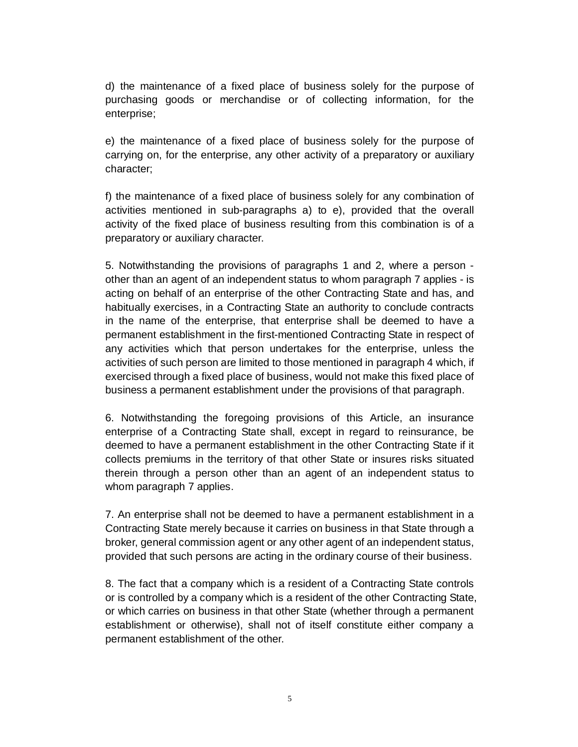d) the maintenance of a fixed place of business solely for the purpose of purchasing goods or merchandise or of collecting information, for the enterprise;

e) the maintenance of a fixed place of business solely for the purpose of carrying on, for the enterprise, any other activity of a preparatory or auxiliary character;

f) the maintenance of a fixed place of business solely for any combination of activities mentioned in sub-paragraphs a) to e), provided that the overall activity of the fixed place of business resulting from this combination is of a preparatory or auxiliary character.

5. Notwithstanding the provisions of paragraphs 1 and 2, where a person other than an agent of an independent status to whom paragraph 7 applies - is acting on behalf of an enterprise of the other Contracting State and has, and habitually exercises, in a Contracting State an authority to conclude contracts in the name of the enterprise, that enterprise shall be deemed to have a permanent establishment in the first-mentioned Contracting State in respect of any activities which that person undertakes for the enterprise, unless the activities of such person are limited to those mentioned in paragraph 4 which, if exercised through a fixed place of business, would not make this fixed place of business a permanent establishment under the provisions of that paragraph.

6. Notwithstanding the foregoing provisions of this Article, an insurance enterprise of a Contracting State shall, except in regard to reinsurance, be deemed to have a permanent establishment in the other Contracting State if it collects premiums in the territory of that other State or insures risks situated therein through a person other than an agent of an independent status to whom paragraph 7 applies.

7. An enterprise shall not be deemed to have a permanent establishment in a Contracting State merely because it carries on business in that State through a broker, general commission agent or any other agent of an independent status, provided that such persons are acting in the ordinary course of their business.

8. The fact that a company which is a resident of a Contracting State controls or is controlled by a company which is a resident of the other Contracting State, or which carries on business in that other State (whether through a permanent establishment or otherwise), shall not of itself constitute either company a permanent establishment of the other.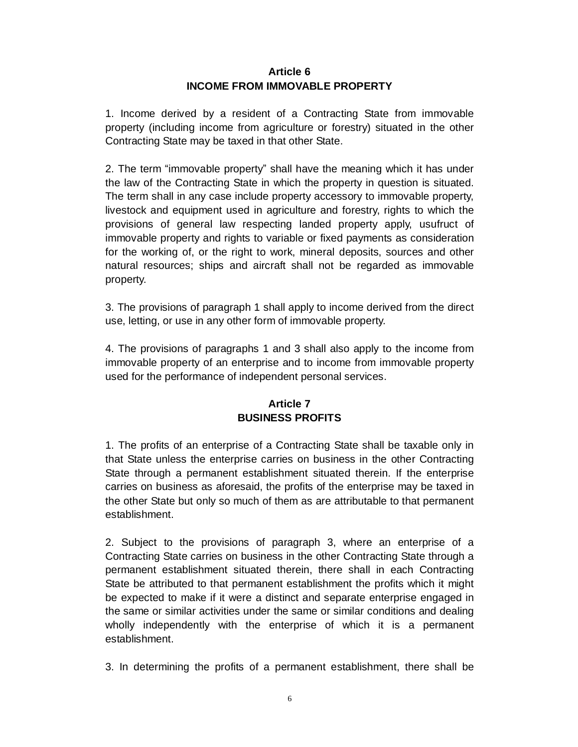#### **Article 6 INCOME FROM IMMOVABLE PROPERTY**

1. Income derived by a resident of a Contracting State from immovable property (including income from agriculture or forestry) situated in the other Contracting State may be taxed in that other State.

2. The term "immovable property" shall have the meaning which it has under the law of the Contracting State in which the property in question is situated. The term shall in any case include property accessory to immovable property, livestock and equipment used in agriculture and forestry, rights to which the provisions of general law respecting landed property apply, usufruct of immovable property and rights to variable or fixed payments as consideration for the working of, or the right to work, mineral deposits, sources and other natural resources; ships and aircraft shall not be regarded as immovable property.

3. The provisions of paragraph 1 shall apply to income derived from the direct use, letting, or use in any other form of immovable property.

4. The provisions of paragraphs 1 and 3 shall also apply to the income from immovable property of an enterprise and to income from immovable property used for the performance of independent personal services.

# **Article 7 BUSINESS PROFITS**

1. The profits of an enterprise of a Contracting State shall be taxable only in that State unless the enterprise carries on business in the other Contracting State through a permanent establishment situated therein. If the enterprise carries on business as aforesaid, the profits of the enterprise may be taxed in the other State but only so much of them as are attributable to that permanent establishment.

2. Subject to the provisions of paragraph 3, where an enterprise of a Contracting State carries on business in the other Contracting State through a permanent establishment situated therein, there shall in each Contracting State be attributed to that permanent establishment the profits which it might be expected to make if it were a distinct and separate enterprise engaged in the same or similar activities under the same or similar conditions and dealing wholly independently with the enterprise of which it is a permanent establishment.

3. In determining the profits of a permanent establishment, there shall be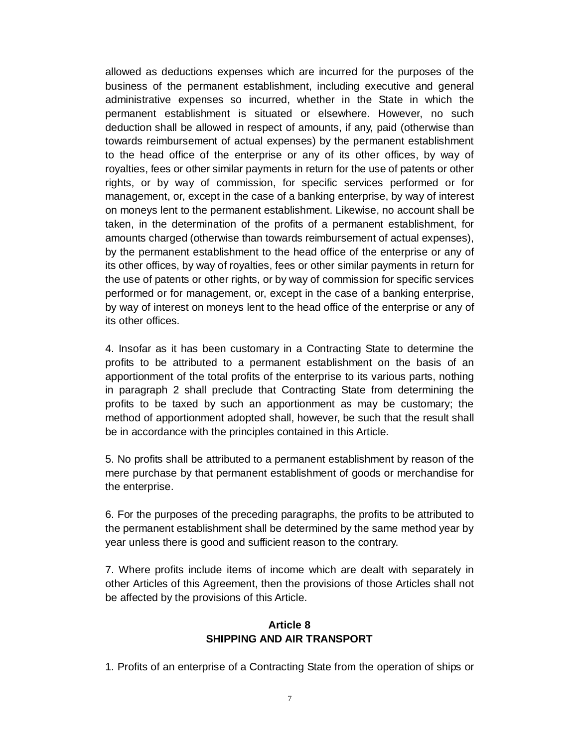allowed as deductions expenses which are incurred for the purposes of the business of the permanent establishment, including executive and general administrative expenses so incurred, whether in the State in which the permanent establishment is situated or elsewhere. However, no such deduction shall be allowed in respect of amounts, if any, paid (otherwise than towards reimbursement of actual expenses) by the permanent establishment to the head office of the enterprise or any of its other offices, by way of royalties, fees or other similar payments in return for the use of patents or other rights, or by way of commission, for specific services performed or for management, or, except in the case of a banking enterprise, by way of interest on moneys lent to the permanent establishment. Likewise, no account shall be taken, in the determination of the profits of a permanent establishment, for amounts charged (otherwise than towards reimbursement of actual expenses), by the permanent establishment to the head office of the enterprise or any of its other offices, by way of royalties, fees or other similar payments in return for the use of patents or other rights, or by way of commission for specific services performed or for management, or, except in the case of a banking enterprise, by way of interest on moneys lent to the head office of the enterprise or any of its other offices.

4. Insofar as it has been customary in a Contracting State to determine the profits to be attributed to a permanent establishment on the basis of an apportionment of the total profits of the enterprise to its various parts, nothing in paragraph 2 shall preclude that Contracting State from determining the profits to be taxed by such an apportionment as may be customary; the method of apportionment adopted shall, however, be such that the result shall be in accordance with the principles contained in this Article.

5. No profits shall be attributed to a permanent establishment by reason of the mere purchase by that permanent establishment of goods or merchandise for the enterprise.

6. For the purposes of the preceding paragraphs, the profits to be attributed to the permanent establishment shall be determined by the same method year by year unless there is good and sufficient reason to the contrary.

7. Where profits include items of income which are dealt with separately in other Articles of this Agreement, then the provisions of those Articles shall not be affected by the provisions of this Article.

#### **Article 8 SHIPPING AND AIR TRANSPORT**

1. Profits of an enterprise of a Contracting State from the operation of ships or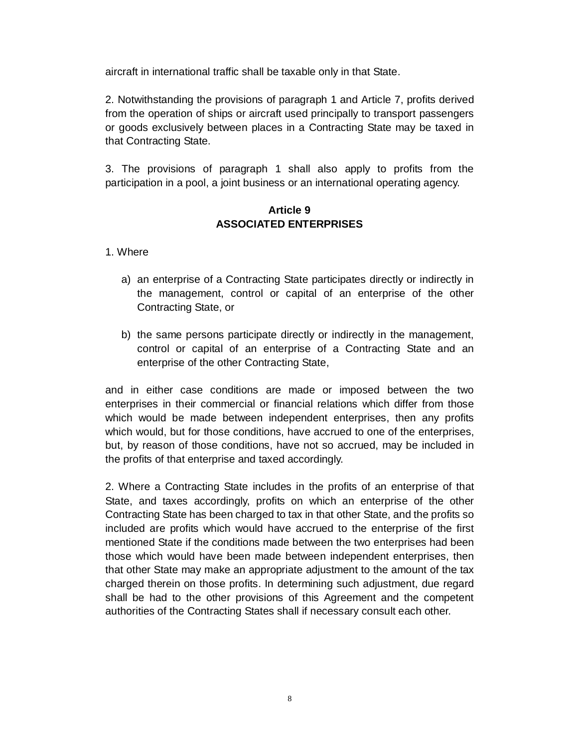aircraft in international traffic shall be taxable only in that State.

2. Notwithstanding the provisions of paragraph 1 and Article 7, profits derived from the operation of ships or aircraft used principally to transport passengers or goods exclusively between places in a Contracting State may be taxed in that Contracting State.

3. The provisions of paragraph 1 shall also apply to profits from the participation in a pool, a joint business or an international operating agency.

# **Article 9 ASSOCIATED ENTERPRISES**

# 1. Where

- a) an enterprise of a Contracting State participates directly or indirectly in the management, control or capital of an enterprise of the other Contracting State, or
- b) the same persons participate directly or indirectly in the management, control or capital of an enterprise of a Contracting State and an enterprise of the other Contracting State,

and in either case conditions are made or imposed between the two enterprises in their commercial or financial relations which differ from those which would be made between independent enterprises, then any profits which would, but for those conditions, have accrued to one of the enterprises, but, by reason of those conditions, have not so accrued, may be included in the profits of that enterprise and taxed accordingly.

2. Where a Contracting State includes in the profits of an enterprise of that State, and taxes accordingly, profits on which an enterprise of the other Contracting State has been charged to tax in that other State, and the profits so included are profits which would have accrued to the enterprise of the first mentioned State if the conditions made between the two enterprises had been those which would have been made between independent enterprises, then that other State may make an appropriate adjustment to the amount of the tax charged therein on those profits. In determining such adjustment, due regard shall be had to the other provisions of this Agreement and the competent authorities of the Contracting States shall if necessary consult each other.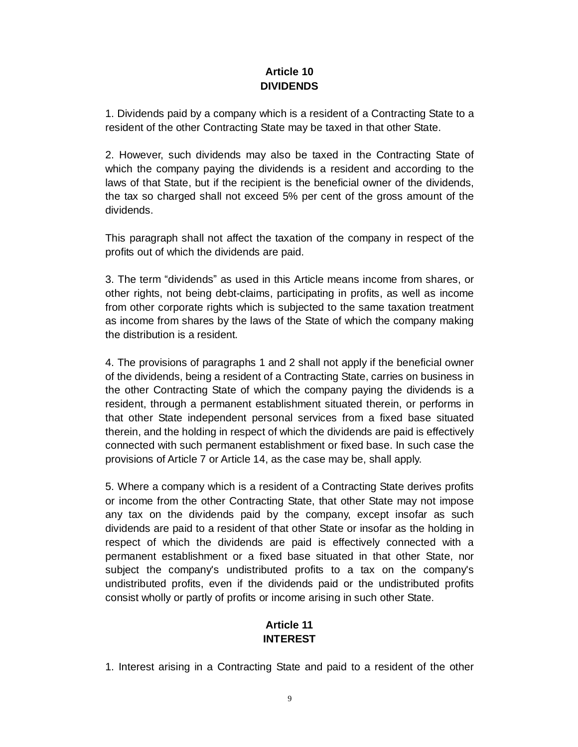# **Article 10 DIVIDENDS**

1. Dividends paid by a company which is a resident of a Contracting State to a resident of the other Contracting State may be taxed in that other State.

2. However, such dividends may also be taxed in the Contracting State of which the company paying the dividends is a resident and according to the laws of that State, but if the recipient is the beneficial owner of the dividends, the tax so charged shall not exceed 5% per cent of the gross amount of the dividends.

This paragraph shall not affect the taxation of the company in respect of the profits out of which the dividends are paid.

3. The term "dividends" as used in this Article means income from shares, or other rights, not being debt-claims, participating in profits, as well as income from other corporate rights which is subjected to the same taxation treatment as income from shares by the laws of the State of which the company making the distribution is a resident.

4. The provisions of paragraphs 1 and 2 shall not apply if the beneficial owner of the dividends, being a resident of a Contracting State, carries on business in the other Contracting State of which the company paying the dividends is a resident, through a permanent establishment situated therein, or performs in that other State independent personal services from a fixed base situated therein, and the holding in respect of which the dividends are paid is effectively connected with such permanent establishment or fixed base. In such case the provisions of Article 7 or Article 14, as the case may be, shall apply.

5. Where a company which is a resident of a Contracting State derives profits or income from the other Contracting State, that other State may not impose any tax on the dividends paid by the company, except insofar as such dividends are paid to a resident of that other State or insofar as the holding in respect of which the dividends are paid is effectively connected with a permanent establishment or a fixed base situated in that other State, nor subject the company's undistributed profits to a tax on the company's undistributed profits, even if the dividends paid or the undistributed profits consist wholly or partly of profits or income arising in such other State.

# **Article 11 INTEREST**

1. Interest arising in a Contracting State and paid to a resident of the other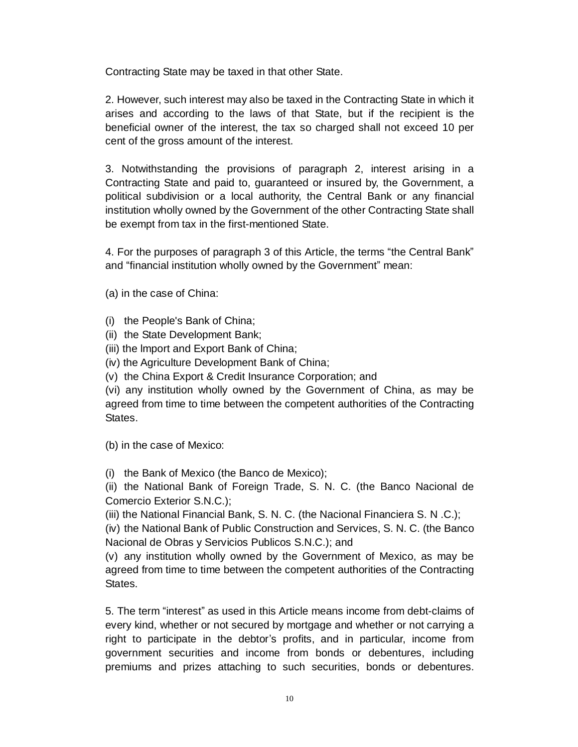Contracting State may be taxed in that other State.

2. However, such interest may also be taxed in the Contracting State in which it arises and according to the laws of that State, but if the recipient is the beneficial owner of the interest, the tax so charged shall not exceed 10 per cent of the gross amount of the interest.

3. Notwithstanding the provisions of paragraph 2, interest arising in a Contracting State and paid to, guaranteed or insured by, the Government, a political subdivision or a local authority, the Central Bank or any financial institution wholly owned by the Government of the other Contracting State shall be exempt from tax in the first-mentioned State.

4. For the purposes of paragraph 3 of this Article, the terms "the Central Bank" and "financial institution wholly owned by the Government" mean:

(a) in the case of China:

- (i) the People's Bank of China;
- (ii) the State Development Bank;
- (iii) the lmport and Export Bank of China;
- (iv) the Agriculture Development Bank of China;
- (v) the China Export & Credit Insurance Corporation; and

(vi) any institution wholly owned by the Government of China, as may be agreed from time to time between the competent authorities of the Contracting States.

(b) in the case of Mexico:

(i) the Bank of Mexico (the Banco de Mexico);

(ii) the National Bank of Foreign Trade, S. N. C. (the Banco Nacional de Comercio Exterior S.N.C.);

(iii) the National Financial Bank, S. N. C. (the Nacional Financiera S. N .C.);

(iv) the National Bank of Public Construction and Services, S. N. C. (the Banco Nacional de Obras y Servicios Publicos S.N.C.); and

(v) any institution wholly owned by the Government of Mexico, as may be agreed from time to time between the competent authorities of the Contracting **States** 

5. The term "interest" as used in this Article means income from debt-claims of every kind, whether or not secured by mortgage and whether or not carrying a right to participate in the debtor's profits, and in particular, income from government securities and income from bonds or debentures, including premiums and prizes attaching to such securities, bonds or debentures.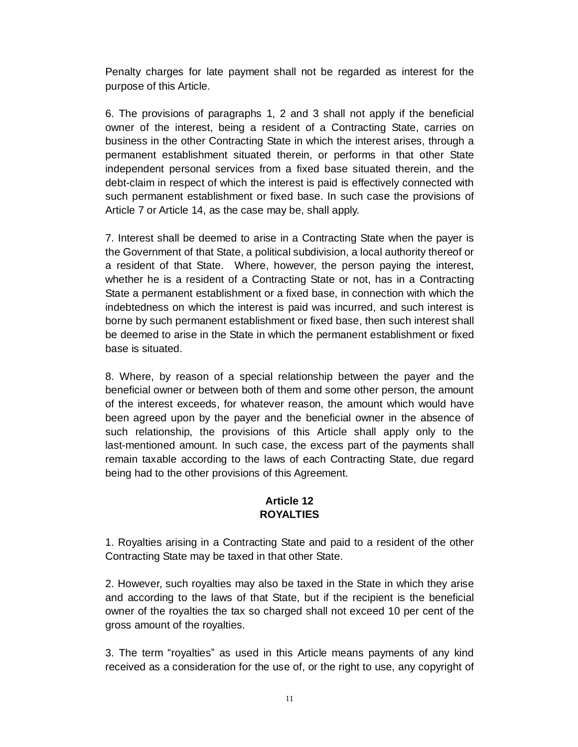Penalty charges for late payment shall not be regarded as interest for the purpose of this Article.

6. The provisions of paragraphs 1, 2 and 3 shall not apply if the beneficial owner of the interest, being a resident of a Contracting State, carries on business in the other Contracting State in which the interest arises, through a permanent establishment situated therein, or performs in that other State independent personal services from a fixed base situated therein, and the debt-claim in respect of which the interest is paid is effectively connected with such permanent establishment or fixed base. In such case the provisions of Article 7 or Article 14, as the case may be, shall apply.

7. Interest shall be deemed to arise in a Contracting State when the payer is the Government of that State, a political subdivision, a local authority thereof or a resident of that State. Where, however, the person paying the interest, whether he is a resident of a Contracting State or not, has in a Contracting State a permanent establishment or a fixed base, in connection with which the indebtedness on which the interest is paid was incurred, and such interest is borne by such permanent establishment or fixed base, then such interest shall be deemed to arise in the State in which the permanent establishment or fixed base is situated.

8. Where, by reason of a special relationship between the payer and the beneficial owner or between both of them and some other person, the amount of the interest exceeds, for whatever reason, the amount which would have been agreed upon by the payer and the beneficial owner in the absence of such relationship, the provisions of this Article shall apply only to the last-mentioned amount. In such case, the excess part of the payments shall remain taxable according to the laws of each Contracting State, due regard being had to the other provisions of this Agreement.

# **Article 12 ROYALTIES**

1. Royalties arising in a Contracting State and paid to a resident of the other Contracting State may be taxed in that other State.

2. However, such royalties may also be taxed in the State in which they arise and according to the laws of that State, but if the recipient is the beneficial owner of the royalties the tax so charged shall not exceed 10 per cent of the gross amount of the royalties.

3. The term "royalties" as used in this Article means payments of any kind received as a consideration for the use of, or the right to use, any copyright of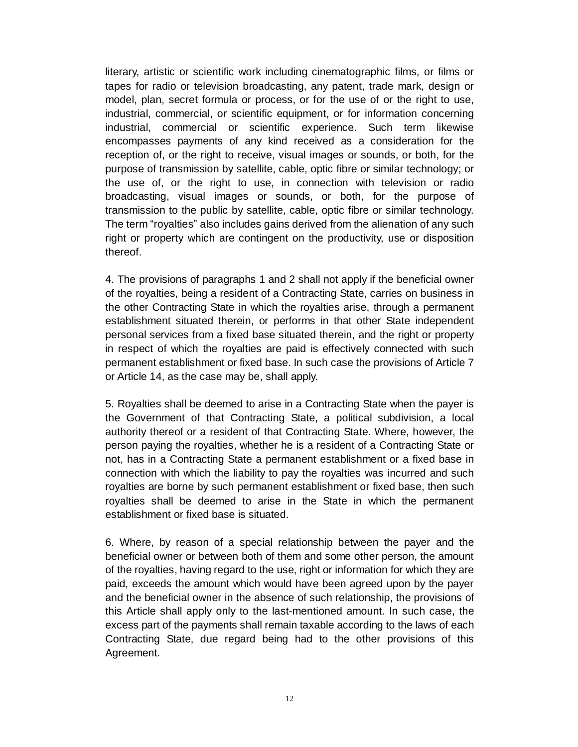literary, artistic or scientific work including cinematographic films, or films or tapes for radio or television broadcasting, any patent, trade mark, design or model, plan, secret formula or process, or for the use of or the right to use, industrial, commercial, or scientific equipment, or for information concerning industrial, commercial or scientific experience. Such term likewise encompasses payments of any kind received as a consideration for the reception of, or the right to receive, visual images or sounds, or both, for the purpose of transmission by satellite, cable, optic fibre or similar technology; or the use of, or the right to use, in connection with television or radio broadcasting, visual images or sounds, or both, for the purpose of transmission to the public by satellite, cable, optic fibre or similar technology. The term "royalties" also includes gains derived from the alienation of any such right or property which are contingent on the productivity, use or disposition thereof.

4. The provisions of paragraphs 1 and 2 shall not apply if the beneficial owner of the royalties, being a resident of a Contracting State, carries on business in the other Contracting State in which the royalties arise, through a permanent establishment situated therein, or performs in that other State independent personal services from a fixed base situated therein, and the right or property in respect of which the royalties are paid is effectively connected with such permanent establishment or fixed base. In such case the provisions of Article 7 or Article 14, as the case may be, shall apply.

5. Royalties shall be deemed to arise in a Contracting State when the payer is the Government of that Contracting State, a political subdivision, a local authority thereof or a resident of that Contracting State. Where, however, the person paying the royalties, whether he is a resident of a Contracting State or not, has in a Contracting State a permanent establishment or a fixed base in connection with which the liability to pay the royalties was incurred and such royalties are borne by such permanent establishment or fixed base, then such royalties shall be deemed to arise in the State in which the permanent establishment or fixed base is situated.

6. Where, by reason of a special relationship between the payer and the beneficial owner or between both of them and some other person, the amount of the royalties, having regard to the use, right or information for which they are paid, exceeds the amount which would have been agreed upon by the payer and the beneficial owner in the absence of such relationship, the provisions of this Article shall apply only to the last-mentioned amount. In such case, the excess part of the payments shall remain taxable according to the laws of each Contracting State, due regard being had to the other provisions of this Agreement.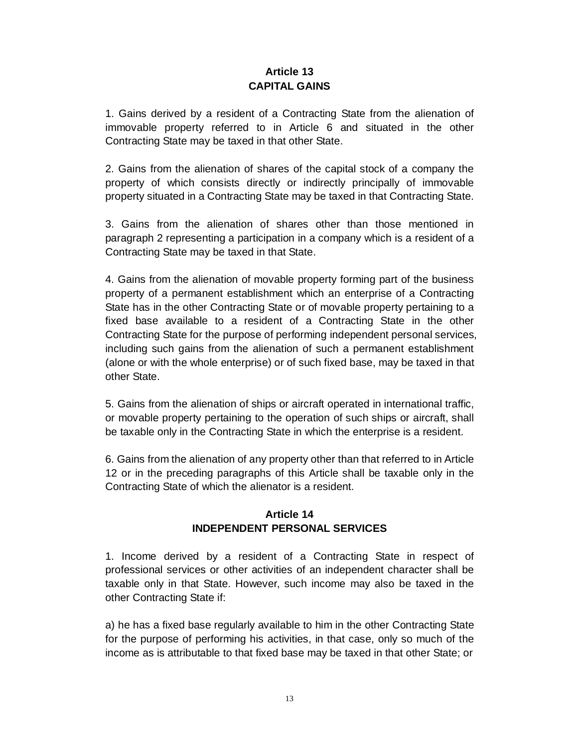# **Article 13 CAPITAL GAINS**

1. Gains derived by a resident of a Contracting State from the alienation of immovable property referred to in Article 6 and situated in the other Contracting State may be taxed in that other State.

2. Gains from the alienation of shares of the capital stock of a company the property of which consists directly or indirectly principally of immovable property situated in a Contracting State may be taxed in that Contracting State.

3. Gains from the alienation of shares other than those mentioned in paragraph 2 representing a participation in a company which is a resident of a Contracting State may be taxed in that State.

4. Gains from the alienation of movable property forming part of the business property of a permanent establishment which an enterprise of a Contracting State has in the other Contracting State or of movable property pertaining to a fixed base available to a resident of a Contracting State in the other Contracting State for the purpose of performing independent personal services, including such gains from the alienation of such a permanent establishment (alone or with the whole enterprise) or of such fixed base, may be taxed in that other State.

5. Gains from the alienation of ships or aircraft operated in international traffic, or movable property pertaining to the operation of such ships or aircraft, shall be taxable only in the Contracting State in which the enterprise is a resident.

6. Gains from the alienation of any property other than that referred to in Article 12 or in the preceding paragraphs of this Article shall be taxable only in the Contracting State of which the alienator is a resident.

#### **Article 14 INDEPENDENT PERSONAL SERVICES**

1. Income derived by a resident of a Contracting State in respect of professional services or other activities of an independent character shall be taxable only in that State. However, such income may also be taxed in the other Contracting State if:

a) he has a fixed base regularly available to him in the other Contracting State for the purpose of performing his activities, in that case, only so much of the income as is attributable to that fixed base may be taxed in that other State; or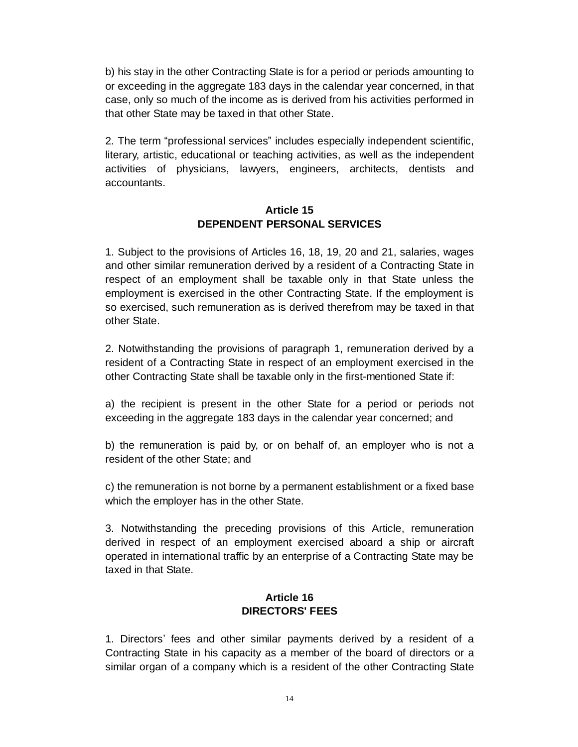b) his stay in the other Contracting State is for a period or periods amounting to or exceeding in the aggregate 183 days in the calendar year concerned, in that case, only so much of the income as is derived from his activities performed in that other State may be taxed in that other State.

2. The term "professional services" includes especially independent scientific, literary, artistic, educational or teaching activities, as well as the independent activities of physicians, lawyers, engineers, architects, dentists and accountants.

### **Article 15 DEPENDENT PERSONAL SERVICES**

1. Subject to the provisions of Articles 16, 18, 19, 20 and 21, salaries, wages and other similar remuneration derived by a resident of a Contracting State in respect of an employment shall be taxable only in that State unless the employment is exercised in the other Contracting State. If the employment is so exercised, such remuneration as is derived therefrom may be taxed in that other State.

2. Notwithstanding the provisions of paragraph 1, remuneration derived by a resident of a Contracting State in respect of an employment exercised in the other Contracting State shall be taxable only in the first-mentioned State if:

a) the recipient is present in the other State for a period or periods not exceeding in the aggregate 183 days in the calendar year concerned; and

b) the remuneration is paid by, or on behalf of, an employer who is not a resident of the other State; and

c) the remuneration is not borne by a permanent establishment or a fixed base which the employer has in the other State.

3. Notwithstanding the preceding provisions of this Article, remuneration derived in respect of an employment exercised aboard a ship or aircraft operated in international traffic by an enterprise of a Contracting State may be taxed in that State.

#### **Article 16 DIRECTORS' FEES**

1. Directors' fees and other similar payments derived by a resident of a Contracting State in his capacity as a member of the board of directors or a similar organ of a company which is a resident of the other Contracting State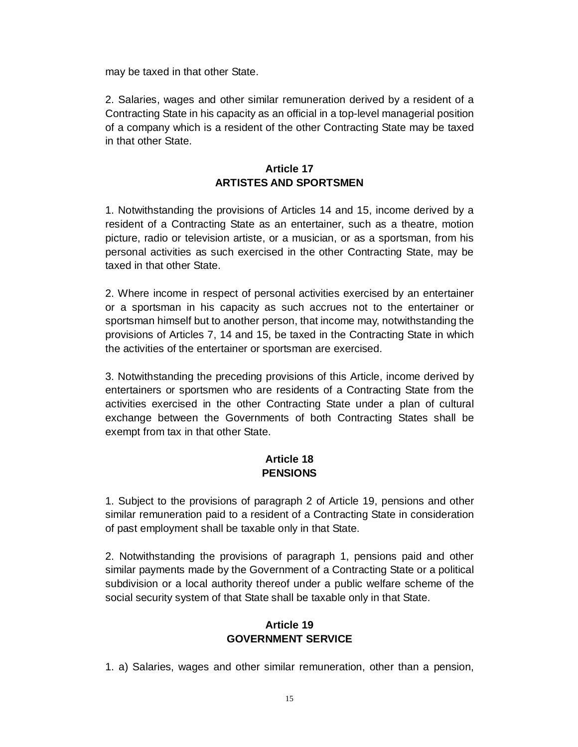may be taxed in that other State.

2. Salaries, wages and other similar remuneration derived by a resident of a Contracting State in his capacity as an official in a top-level managerial position of a company which is a resident of the other Contracting State may be taxed in that other State.

#### **Article 17 ARTISTES AND SPORTSMEN**

1. Notwithstanding the provisions of Articles 14 and 15, income derived by a resident of a Contracting State as an entertainer, such as a theatre, motion picture, radio or television artiste, or a musician, or as a sportsman, from his personal activities as such exercised in the other Contracting State, may be taxed in that other State.

2. Where income in respect of personal activities exercised by an entertainer or a sportsman in his capacity as such accrues not to the entertainer or sportsman himself but to another person, that income may, notwithstanding the provisions of Articles 7, 14 and 15, be taxed in the Contracting State in which the activities of the entertainer or sportsman are exercised.

3. Notwithstanding the preceding provisions of this Article, income derived by entertainers or sportsmen who are residents of a Contracting State from the activities exercised in the other Contracting State under a plan of cultural exchange between the Governments of both Contracting States shall be exempt from tax in that other State.

# **Article 18 PENSIONS**

1. Subject to the provisions of paragraph 2 of Article 19, pensions and other similar remuneration paid to a resident of a Contracting State in consideration of past employment shall be taxable only in that State.

2. Notwithstanding the provisions of paragraph 1, pensions paid and other similar payments made by the Government of a Contracting State or a political subdivision or a local authority thereof under a public welfare scheme of the social security system of that State shall be taxable only in that State.

# **Article 19 GOVERNMENT SERVICE**

1. a) Salaries, wages and other similar remuneration, other than a pension,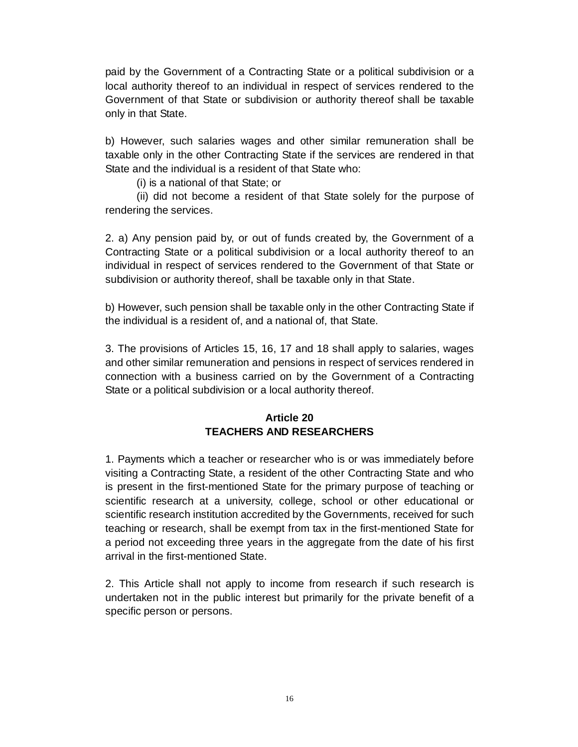paid by the Government of a Contracting State or a political subdivision or a local authority thereof to an individual in respect of services rendered to the Government of that State or subdivision or authority thereof shall be taxable only in that State.

b) However, such salaries wages and other similar remuneration shall be taxable only in the other Contracting State if the services are rendered in that State and the individual is a resident of that State who:

(i) is a national of that State; or

(ii) did not become a resident of that State solely for the purpose of rendering the services.

2. a) Any pension paid by, or out of funds created by, the Government of a Contracting State or a political subdivision or a local authority thereof to an individual in respect of services rendered to the Government of that State or subdivision or authority thereof, shall be taxable only in that State.

b) However, such pension shall be taxable only in the other Contracting State if the individual is a resident of, and a national of, that State.

3. The provisions of Articles 15, 16, 17 and 18 shall apply to salaries, wages and other similar remuneration and pensions in respect of services rendered in connection with a business carried on by the Government of a Contracting State or a political subdivision or a local authority thereof.

# **Article 20 TEACHERS AND RESEARCHERS**

1. Payments which a teacher or researcher who is or was immediately before visiting a Contracting State, a resident of the other Contracting State and who is present in the first-mentioned State for the primary purpose of teaching or scientific research at a university, college, school or other educational or scientific research institution accredited by the Governments, received for such teaching or research, shall be exempt from tax in the first-mentioned State for a period not exceeding three years in the aggregate from the date of his first arrival in the first-mentioned State.

2. This Article shall not apply to income from research if such research is undertaken not in the public interest but primarily for the private benefit of a specific person or persons.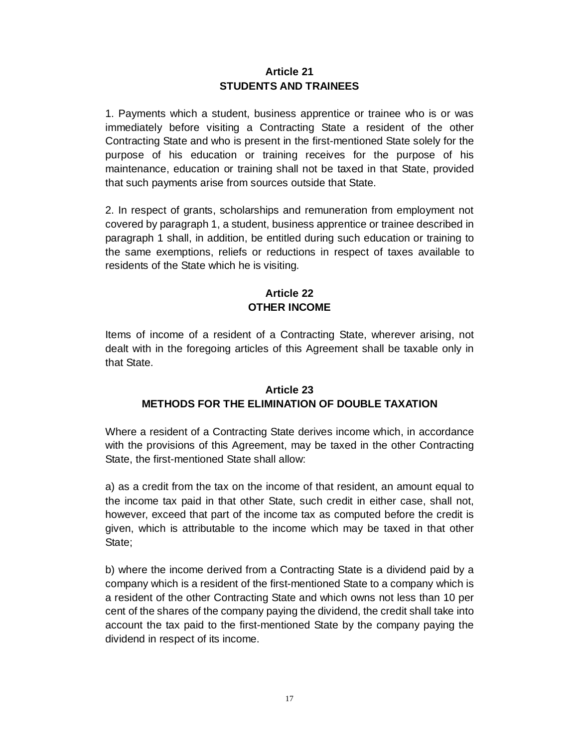### **Article 21 STUDENTS AND TRAINEES**

1. Payments which a student, business apprentice or trainee who is or was immediately before visiting a Contracting State a resident of the other Contracting State and who is present in the first-mentioned State solely for the purpose of his education or training receives for the purpose of his maintenance, education or training shall not be taxed in that State, provided that such payments arise from sources outside that State.

2. In respect of grants, scholarships and remuneration from employment not covered by paragraph 1, a student, business apprentice or trainee described in paragraph 1 shall, in addition, be entitled during such education or training to the same exemptions, reliefs or reductions in respect of taxes available to residents of the State which he is visiting.

# **Article 22 OTHER INCOME**

Items of income of a resident of a Contracting State, wherever arising, not dealt with in the foregoing articles of this Agreement shall be taxable only in that State.

#### **Article 23 METHODS FOR THE ELIMINATION OF DOUBLE TAXATION**

Where a resident of a Contracting State derives income which, in accordance with the provisions of this Agreement, may be taxed in the other Contracting State, the first-mentioned State shall allow:

a) as a credit from the tax on the income of that resident, an amount equal to the income tax paid in that other State, such credit in either case, shall not, however, exceed that part of the income tax as computed before the credit is given, which is attributable to the income which may be taxed in that other State;

b) where the income derived from a Contracting State is a dividend paid by a company which is a resident of the first-mentioned State to a company which is a resident of the other Contracting State and which owns not less than 10 per cent of the shares of the company paying the dividend, the credit shall take into account the tax paid to the first-mentioned State by the company paying the dividend in respect of its income.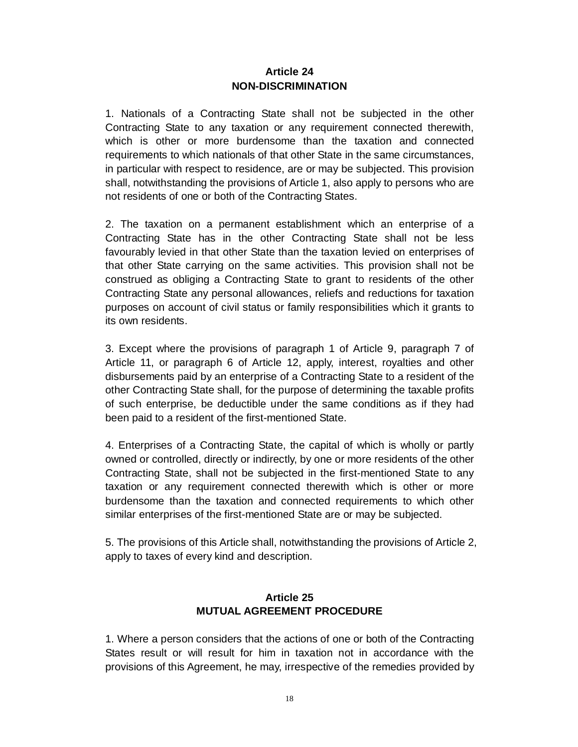#### **Article 24 NON-DISCRIMINATION**

1. Nationals of a Contracting State shall not be subjected in the other Contracting State to any taxation or any requirement connected therewith, which is other or more burdensome than the taxation and connected requirements to which nationals of that other State in the same circumstances, in particular with respect to residence, are or may be subjected. This provision shall, notwithstanding the provisions of Article 1, also apply to persons who are not residents of one or both of the Contracting States.

2. The taxation on a permanent establishment which an enterprise of a Contracting State has in the other Contracting State shall not be less favourably levied in that other State than the taxation levied on enterprises of that other State carrying on the same activities. This provision shall not be construed as obliging a Contracting State to grant to residents of the other Contracting State any personal allowances, reliefs and reductions for taxation purposes on account of civil status or family responsibilities which it grants to its own residents.

3. Except where the provisions of paragraph 1 of Article 9, paragraph 7 of Article 11, or paragraph 6 of Article 12, apply, interest, royalties and other disbursements paid by an enterprise of a Contracting State to a resident of the other Contracting State shall, for the purpose of determining the taxable profits of such enterprise, be deductible under the same conditions as if they had been paid to a resident of the first-mentioned State.

4. Enterprises of a Contracting State, the capital of which is wholly or partly owned or controlled, directly or indirectly, by one or more residents of the other Contracting State, shall not be subjected in the first-mentioned State to any taxation or any requirement connected therewith which is other or more burdensome than the taxation and connected requirements to which other similar enterprises of the first-mentioned State are or may be subjected.

5. The provisions of this Article shall, notwithstanding the provisions of Article 2, apply to taxes of every kind and description.

# **Article 25 MUTUAL AGREEMENT PROCEDURE**

1. Where a person considers that the actions of one or both of the Contracting States result or will result for him in taxation not in accordance with the provisions of this Agreement, he may, irrespective of the remedies provided by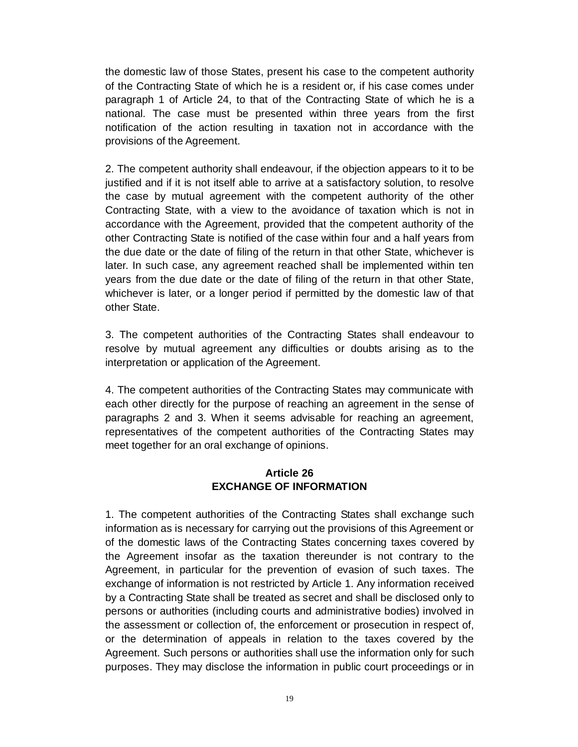the domestic law of those States, present his case to the competent authority of the Contracting State of which he is a resident or, if his case comes under paragraph 1 of Article 24, to that of the Contracting State of which he is a national. The case must be presented within three years from the first notification of the action resulting in taxation not in accordance with the provisions of the Agreement.

2. The competent authority shall endeavour, if the objection appears to it to be justified and if it is not itself able to arrive at a satisfactory solution, to resolve the case by mutual agreement with the competent authority of the other Contracting State, with a view to the avoidance of taxation which is not in accordance with the Agreement, provided that the competent authority of the other Contracting State is notified of the case within four and a half years from the due date or the date of filing of the return in that other State, whichever is later. In such case, any agreement reached shall be implemented within ten years from the due date or the date of filing of the return in that other State, whichever is later, or a longer period if permitted by the domestic law of that other State.

3. The competent authorities of the Contracting States shall endeavour to resolve by mutual agreement any difficulties or doubts arising as to the interpretation or application of the Agreement.

4. The competent authorities of the Contracting States may communicate with each other directly for the purpose of reaching an agreement in the sense of paragraphs 2 and 3. When it seems advisable for reaching an agreement, representatives of the competent authorities of the Contracting States may meet together for an oral exchange of opinions.

#### **Article 26 EXCHANGE OF INFORMATION**

1. The competent authorities of the Contracting States shall exchange such information as is necessary for carrying out the provisions of this Agreement or of the domestic laws of the Contracting States concerning taxes covered by the Agreement insofar as the taxation thereunder is not contrary to the Agreement, in particular for the prevention of evasion of such taxes. The exchange of information is not restricted by Article 1. Any information received by a Contracting State shall be treated as secret and shall be disclosed only to persons or authorities (including courts and administrative bodies) involved in the assessment or collection of, the enforcement or prosecution in respect of, or the determination of appeals in relation to the taxes covered by the Agreement. Such persons or authorities shall use the information only for such purposes. They may disclose the information in public court proceedings or in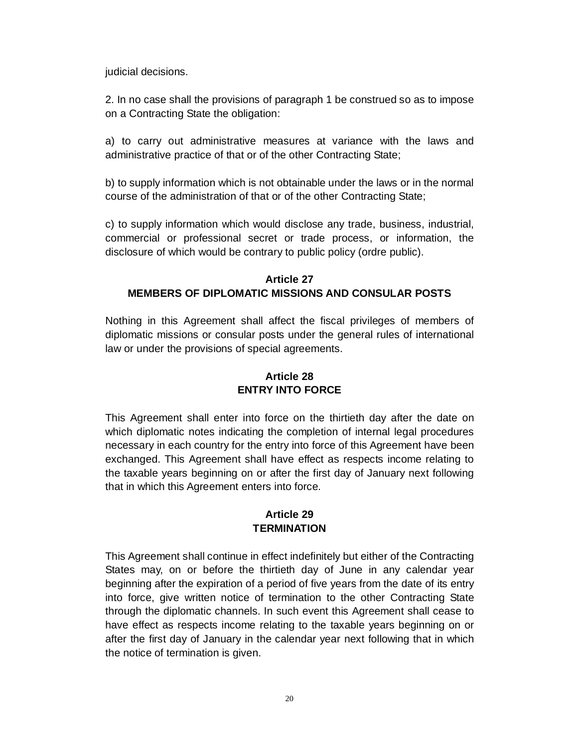judicial decisions.

2. In no case shall the provisions of paragraph 1 be construed so as to impose on a Contracting State the obligation:

a) to carry out administrative measures at variance with the laws and administrative practice of that or of the other Contracting State;

b) to supply information which is not obtainable under the laws or in the normal course of the administration of that or of the other Contracting State;

c) to supply information which would disclose any trade, business, industrial, commercial or professional secret or trade process, or information, the disclosure of which would be contrary to public policy (ordre public).

#### **Article 27 MEMBERS OF DIPLOMATIC MISSIONS AND CONSULAR POSTS**

Nothing in this Agreement shall affect the fiscal privileges of members of diplomatic missions or consular posts under the general rules of international law or under the provisions of special agreements.

# **Article 28 ENTRY INTO FORCE**

This Agreement shall enter into force on the thirtieth day after the date on which diplomatic notes indicating the completion of internal legal procedures necessary in each country for the entry into force of this Agreement have been exchanged. This Agreement shall have effect as respects income relating to the taxable years beginning on or after the first day of January next following that in which this Agreement enters into force.

# **Article 29 TERMINATION**

This Agreement shall continue in effect indefinitely but either of the Contracting States may, on or before the thirtieth day of June in any calendar year beginning after the expiration of a period of five years from the date of its entry into force, give written notice of termination to the other Contracting State through the diplomatic channels. In such event this Agreement shall cease to have effect as respects income relating to the taxable years beginning on or after the first day of January in the calendar year next following that in which the notice of termination is given.